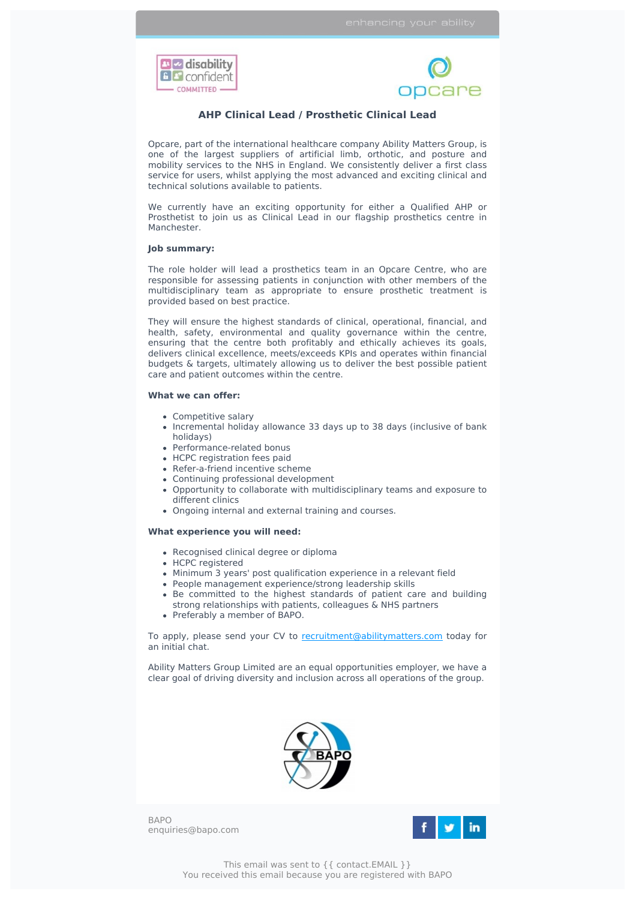



## **AHP Clinical Lead / Prosthetic Clinical Lead**

Opcare, part of the international healthcare company Ability Matters Group, is one of the largest suppliers of artificial limb, orthotic, and posture and mobility services to the NHS in England. We consistently deliver a first class service for users, whilst applying the most advanced and exciting clinical and technical solutions available to patients.

We currently have an exciting opportunity for either a Qualified AHP or Prosthetist to join us as Clinical Lead in our flagship prosthetics centre in Manchester.

## **Job summary:**

The role holder will lead a prosthetics team in an Opcare Centre, who are responsible for assessing patients in conjunction with other members of the multidisciplinary team as appropriate to ensure prosthetic treatment is provided based on best practice.

They will ensure the highest standards of clinical, operational, financial, and health, safety, environmental and quality governance within the centre, ensuring that the centre both profitably and ethically achieves its goals, delivers clinical excellence, meets/exceeds KPIs and operates within financial budgets & targets, ultimately allowing us to deliver the best possible patient care and patient outcomes within the centre.

## **What we can offer:**

- Competitive salary
- Incremental holiday allowance 33 days up to 38 days (inclusive of bank holidays)
- Performance-related bonus
- HCPC registration fees paid
- Refer-a-friend incentive scheme
- Continuing professional development
- Opportunity to collaborate with multidisciplinary teams and exposure to different clinics
- Ongoing internal and external training and courses.

## **What experience you will need:**

- Recognised clinical degree or diploma
- HCPC registered
- Minimum 3 years' post qualification experience in a relevant field
- People management experience/strong leadership skills
- Be committed to the highest standards of patient care and building
- strong relationships with patients, colleagues & NHS partners Preferably a member of BAPO.

To apply, please send your CV to [recruitment@abilitymatters.com](mailto:recruitment@abilitymatters.com?subject=AHP%20Clinical%20Lead%20%2F%20Prosthetic%20Clinical%20Lead%20-%20Manchester) today for an initial chat.

Ability Matters Group Limited are an equal opportunities employer, we have a clear goal of driving diversity and inclusion across all operations of the group.



BAPO enquiries@bapo.com